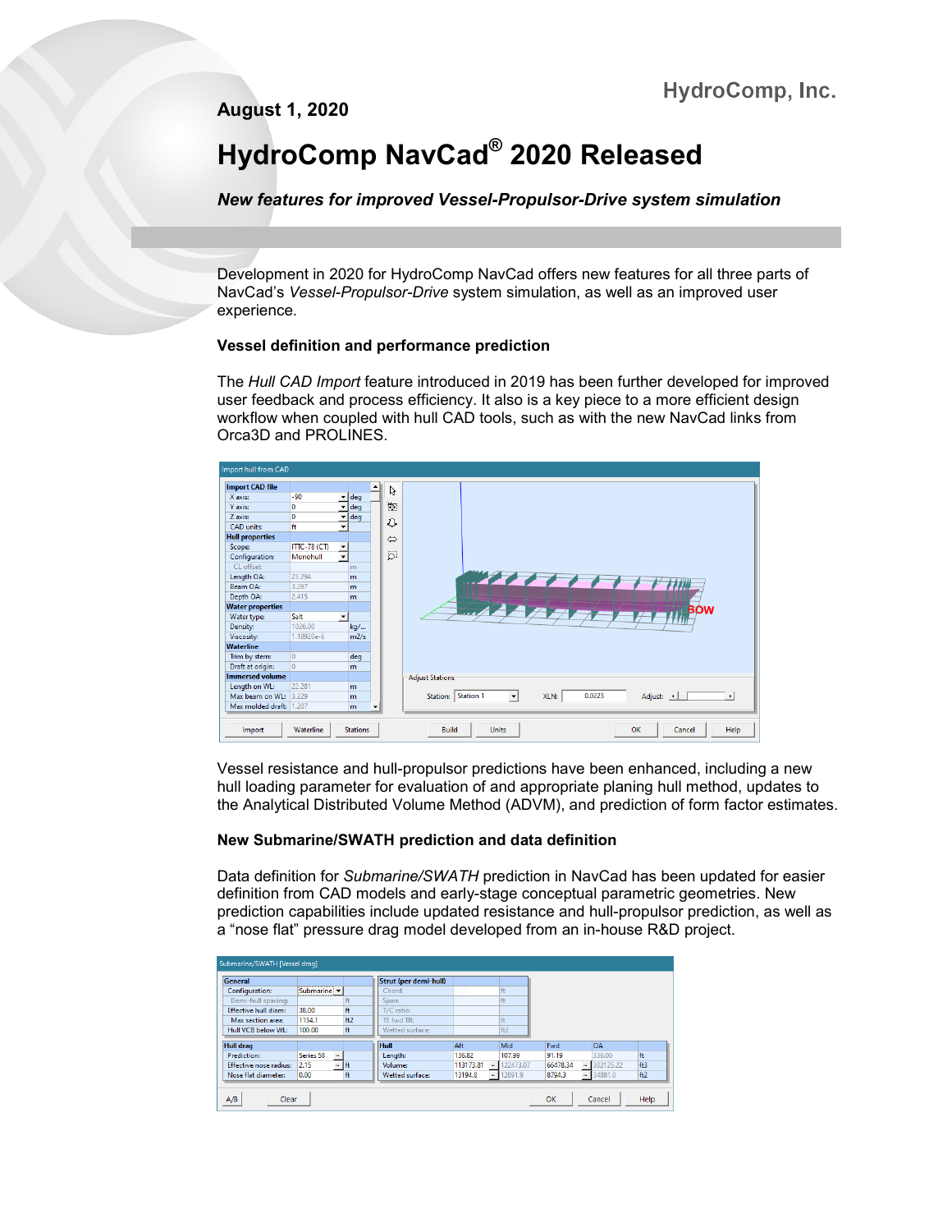**August 1, 2020**

# **HydroComp NavCad® 2020 Released**

*New features for improved Vessel-Propulsor-Drive system simulation*

Development in 2020 for HydroComp NavCad offers new features for all three parts of NavCad's *Vessel-Propulsor-Drive* system simulation, as well as an improved user experience.

# **Vessel definition and performance prediction**

The *Hull CAD Import* feature introduced in 2019 has been further developed for improved user feedback and process efficiency. It also is a key piece to a more efficient design workflow when coupled with hull CAD tools, such as with the new NavCad links from Orca3D and PROLINES.



Vessel resistance and hull-propulsor predictions have been enhanced, including a new hull loading parameter for evaluation of and appropriate planing hull method, updates to the Analytical Distributed Volume Method (ADVM), and prediction of form factor estimates.

# **New Submarine/SWATH prediction and data definition**

Data definition for *Submarine/SWATH* prediction in NavCad has been updated for easier definition from CAD models and early-stage conceptual parametric geometries. New prediction capabilities include updated resistance and hull-propulsor prediction, as well as a "nose flat" pressure drag model developed from an in-house R&D project.

| Submarine/SWATH [Vessel drag] |                 |      |                              |                                       |           |                        |           |     |
|-------------------------------|-----------------|------|------------------------------|---------------------------------------|-----------|------------------------|-----------|-----|
| General                       |                 |      | <b>Strut (per demi-hull)</b> |                                       |           |                        |           |     |
| Configuration:                | Submarine v     |      | Chord:                       | 0.00                                  | ft        |                        |           |     |
| Demi-hull spacing:            |                 | ft   | Span:                        |                                       | ft        |                        |           |     |
| <b>Effective hull diam:</b>   | 38.00           | ft.  | T/C ratio:                   |                                       |           |                        |           |     |
| Max section area:             | 1134.1          | ft2  | TE fwd TR:                   |                                       | ft        |                        |           |     |
| Hull VCB below WL:            | 100.00          | ft   | Wetted surface:              |                                       | ft2       |                        |           |     |
| <b>Hull drag</b>              |                 |      | <b>Hull</b>                  | Aft                                   | Mid       | Fwd                    | <b>OA</b> |     |
| Prediction:                   | m.<br>Series 58 |      | Length:                      | 136.82                                | 107.99    | 91.19                  | 336.00    | ft. |
|                               |                 |      |                              |                                       |           |                        |           |     |
| Effective nose radius:        | m.<br>2.15      | l ft | Volume:                      | 113173.81<br>$\overline{\phantom{a}}$ | 122473.07 | $_{\rm m}$<br>66478.34 | 302125.22 | ft3 |
| Nose flat diameter:           | 0.00            | ft   | Wetted surface:              | 13194.8<br>$\mu_{\rm B}$              | 12891.9   | 8794.3<br>m.           | 34881.0   | ft2 |